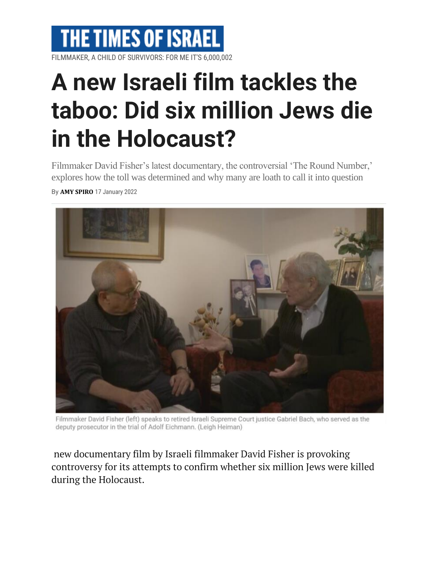

FILMMAKER, A CHILD OF SURVIVORS: FOR ME IT'S 6,000,002

## **A new Israeli film tackles the taboo: Did six million Jews die in the Holocaust?**

Filmmaker David Fisher's latest documentary, the controversial 'The Round Number,' explores how the toll was determined and why many are loath to call it into question

By **AMY [SPIRO](https://www.timesofisrael.com/writers/amy-spiro/)** 17 January 2022



Filmmaker David Fisher (left) speaks to retired Israeli Supreme Court justice Gabriel Bach, who served as the deputy prosecutor in the trial of Adolf Eichmann. (Leigh Heiman)

new documentary film by Israeli filmmaker David Fisher is provoking controversy for its attempts to confirm whether six million Jews were killed during the Holocaust.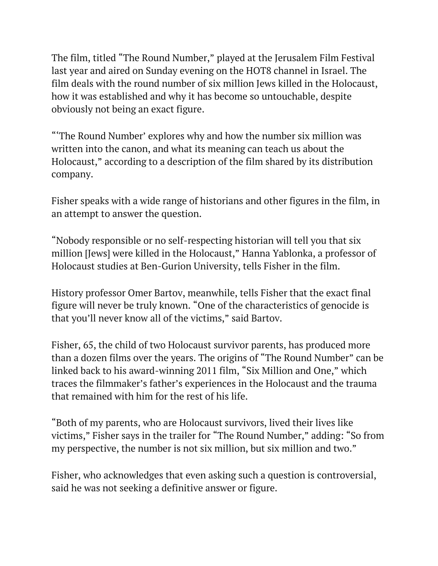The film, titled "The Round Number," played at the Jerusalem Film Festival last year and aired on Sunday evening on the HOT8 channel in Israel. The film deals with the round number of six million Jews killed in the Holocaust, how it was established and why it has become so untouchable, despite obviously not being an exact figure.

"'The Round Number' explores why and how the number six million was written into the canon, and what its meaning can teach us about the Holocaust," according to a description of the film shared by its distribution company.

Fisher speaks with a wide range of historians and other figures in the film, in an attempt to answer the question.

"Nobody responsible or no self-respecting historian will tell you that six million [Jews] were killed in the Holocaust," Hanna Yablonka, a professor of Holocaust studies at Ben-Gurion University, tells Fisher in the film.

History professor Omer Bartov, meanwhile, tells Fisher that the exact final figure will never be truly known. "One of the characteristics of genocide is that you'll never know all of the victims," said Bartov.

Fisher, 65, the child of two Holocaust survivor parents, has produced more than a dozen films over the years. The origins of "The Round Number" can be linked back to his award-winning 2011 film, "Six Million and One," which traces the filmmaker's father's experiences in the Holocaust and the trauma that remained with him for the rest of his life.

"Both of my parents, who are Holocaust survivors, lived their lives like victims," Fisher says in the trailer for "The Round Number," adding: "So from my perspective, the number is not six million, but six million and two."

Fisher, who acknowledges that even asking such a question is controversial, said he was not seeking a definitive answer or figure.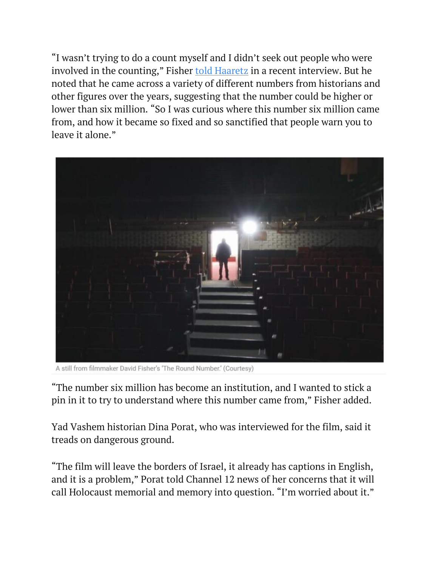"I wasn't trying to do a count myself and I didn't seek out people who were involved in the counting," Fisher told [Haaretz](https://www.haaretz.com/israel-news/.premium.HIGHLIGHT.MAGAZINE-this-filmmaker-dares-to-question-the-figure-of-6-million-jewish-victims-in-wwii-1.10542149) in a recent interview. But he noted that he came across a variety of different numbers from historians and other figures over the years, suggesting that the number could be higher or lower than six million. "So I was curious where this number six million came from, and how it became so fixed and so sanctified that people warn you to leave it alone."



A still from filmmaker David Fisher's 'The Round Number.' (Courtesy)

"The number six million has become an institution, and I wanted to stick a pin in it to try to understand where this number came from," Fisher added.

Yad Vashem historian Dina Porat, who was interviewed for the film, said it treads on dangerous ground.

"The film will leave the borders of Israel, it already has captions in English, and it is a problem," Porat told Channel 12 news of her concerns that it will call Holocaust memorial and memory into question. "I'm worried about it."